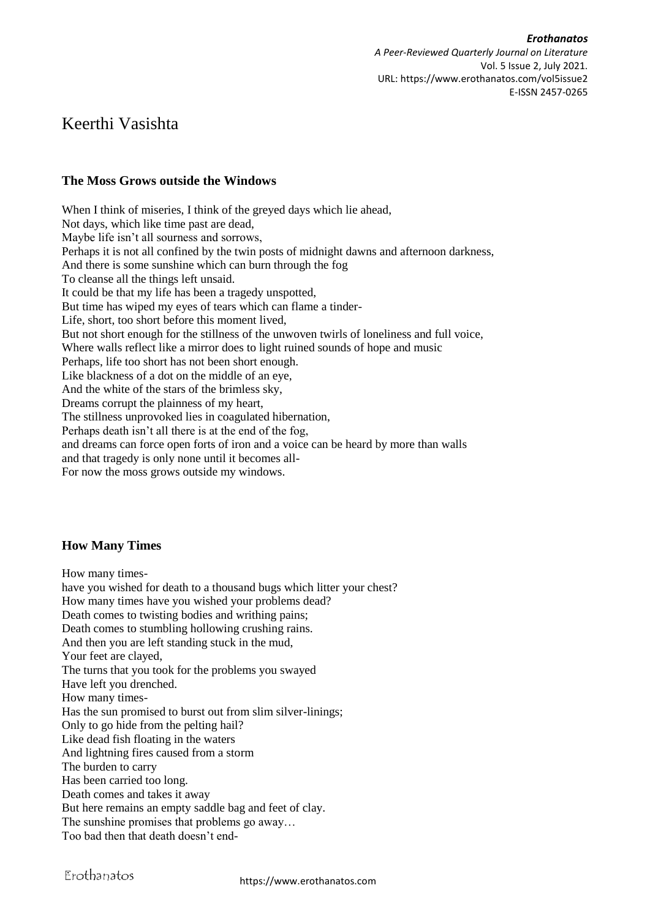*Erothanatos A Peer-Reviewed Quarterly Journal on Literature* Vol. 5 Issue 2, July 2021. URL: https://www.erothanatos.com/vol5issue2 E-ISSN 2457-0265

# Keerthi Vasishta

## **The Moss Grows outside the Windows**

When I think of miseries, I think of the greyed days which lie ahead, Not days, which like time past are dead, Maybe life isn't all sourness and sorrows, Perhaps it is not all confined by the twin posts of midnight dawns and afternoon darkness, And there is some sunshine which can burn through the fog To cleanse all the things left unsaid. It could be that my life has been a tragedy unspotted, But time has wiped my eyes of tears which can flame a tinder-Life, short, too short before this moment lived, But not short enough for the stillness of the unwoven twirls of loneliness and full voice, Where walls reflect like a mirror does to light ruined sounds of hope and music Perhaps, life too short has not been short enough. Like blackness of a dot on the middle of an eye, And the white of the stars of the brimless sky, Dreams corrupt the plainness of my heart, The stillness unprovoked lies in coagulated hibernation, Perhaps death isn't all there is at the end of the fog, and dreams can force open forts of iron and a voice can be heard by more than walls and that tragedy is only none until it becomes all-For now the moss grows outside my windows.

### **How Many Times**

How many times-

have you wished for death to a thousand bugs which litter your chest? How many times have you wished your problems dead? Death comes to twisting bodies and writhing pains; Death comes to stumbling hollowing crushing rains. And then you are left standing stuck in the mud, Your feet are clayed, The turns that you took for the problems you swayed Have left you drenched. How many times-Has the sun promised to burst out from slim silver-linings; Only to go hide from the pelting hail? Like dead fish floating in the waters And lightning fires caused from a storm The burden to carry Has been carried too long. Death comes and takes it away But here remains an empty saddle bag and feet of clay. The sunshine promises that problems go away… Too bad then that death doesn't end-